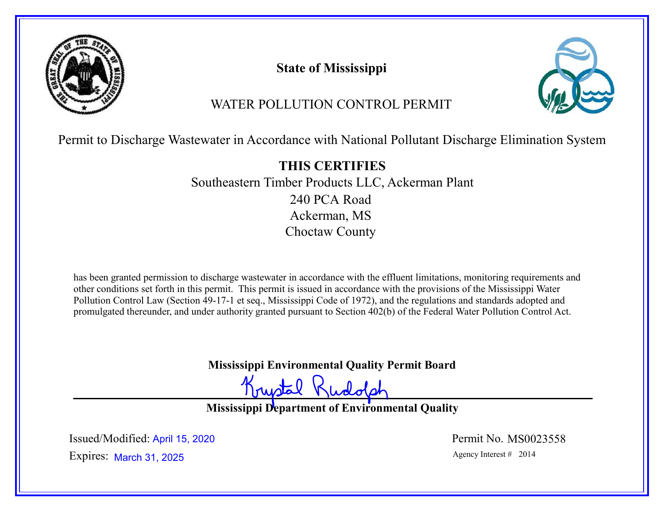

State of Mississippi



# WATER POLLUTION CONTROL PERMIT

Permit to Discharge Wastewater in Accordance with National Pollutant Discharge Elimination System

THIS CERTIFIES Southeastern Timber Products LLC, Ackerman Plant 240 PCA Road Ackerman, MS Choctaw County

has been granted permission to discharge wastewater in accordance with the effluent limitations, monitoring requirements and other conditions set forth in this permit. This permit is issued in accordance with the provisions of the Mississippi Water Pollution Control Law (Section 49-17-1 et seq., Mississippi Code of 1972), and the regulations and standards adopted and promulgated thereunder, and under authority granted pursuant to Section 402(b) of the Federal Water Pollution Control Act.

Mississippi Environmental Quality Permit Board

Krustal

Mississippi Department of Environmental Quality

Expires: March 31, 2025 Issued/Modified: April 15, 2020 <br>
Permit No. MS0023558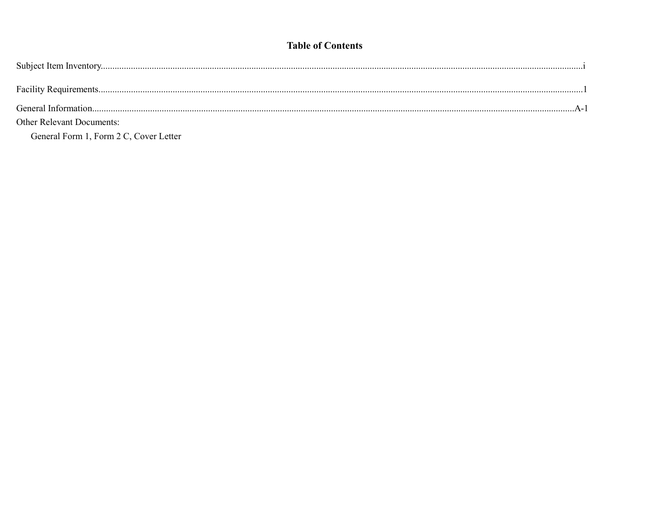## **Table of Contents**

| <b>Other Relevant Documents:</b>       |  |
|----------------------------------------|--|
| General Form 1, Form 2 C, Cover Letter |  |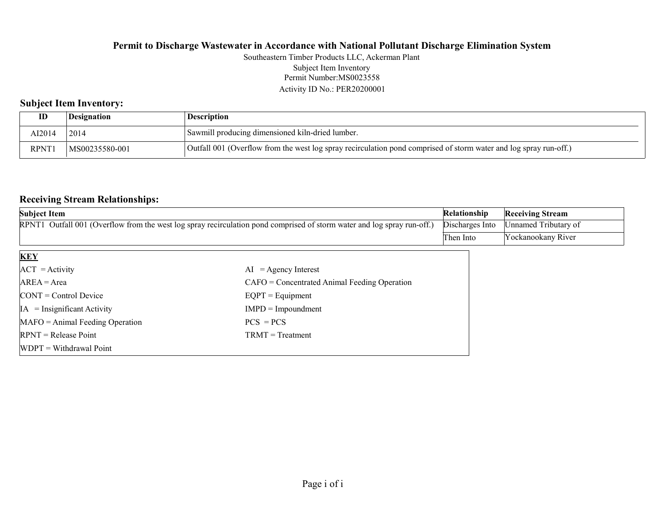Permit Number:MS0023558 Activity ID No.: PER20200001 Southeastern Timber Products LLC, Ackerman Plant Subject Item Inventory

## Subject Item Inventory:

| ID          | <i><b>Designation</b></i> | <b>Description</b>                                                                                                |
|-------------|---------------------------|-------------------------------------------------------------------------------------------------------------------|
| AI2014      | 2014                      | <sup>1</sup> Sawmill producing dimensioned kiln-dried lumber.                                                     |
| <b>RPNT</b> | MS00235580-001            | Outfall 001 (Overflow from the west log spray recirculation pond comprised of storm water and log spray run-off.) |

## Receiving Stream Relationships:

| <b>Subject Item</b>                                                                                                     |                                                | Relationship    | <b>Receiving Stream</b> |
|-------------------------------------------------------------------------------------------------------------------------|------------------------------------------------|-----------------|-------------------------|
| RPNT1 Outfall 001 (Overflow from the west log spray recirculation pond comprised of storm water and log spray run-off.) |                                                | Discharges Into | Unnamed Tributary of    |
|                                                                                                                         |                                                | Then Into       | Yockanookany River      |
| <b>KEY</b>                                                                                                              |                                                |                 |                         |
| $ACT = Activity$                                                                                                        | $AI = Agency Interest$                         |                 |                         |
| $AREA = Area$                                                                                                           | $CAFO =$ Concentrated Animal Feeding Operation |                 |                         |
| $\text{CONT} = \text{Control Device}$                                                                                   | $EQPT = Equipment$                             |                 |                         |
| $IA = Insignificant Activity$                                                                                           | $IMPD = Important$                             |                 |                         |
| $MAFO = Animal Feeding Operation$                                                                                       | $PCS = PCs$                                    |                 |                         |
| $RPNT = Release Point$                                                                                                  | $TRMT = Treatment$                             |                 |                         |

WDPT = Withdrawal Point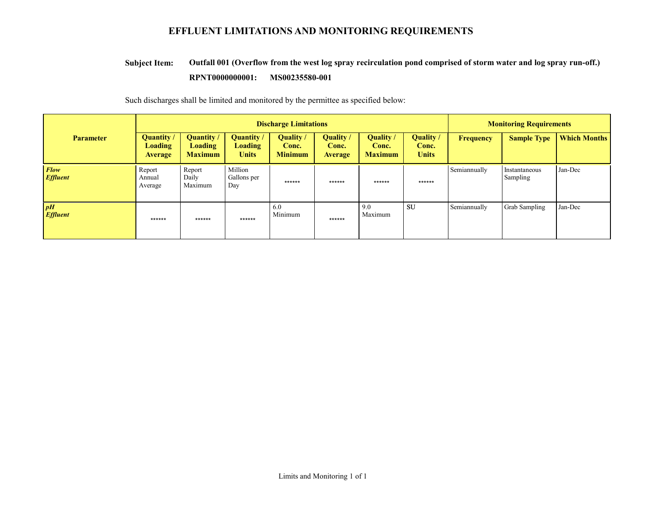## EFFLUENT LIMITATIONS AND MONITORING REQUIREMENTS

#### Outfall 001 (Overflow from the west log spray recirculation pond comprised of storm water and log spray run-off.) RPNT0000000001: MS00235580-001 Subject Item:

Such discharges shall be limited and monitored by the permittee as specified below:

|                         | <b>Discharge Limitations</b>                   |                                                       |                                             |                                      | <b>Monitoring Requirements</b>              |                                             |                                    |              |                           |                     |
|-------------------------|------------------------------------------------|-------------------------------------------------------|---------------------------------------------|--------------------------------------|---------------------------------------------|---------------------------------------------|------------------------------------|--------------|---------------------------|---------------------|
| <b>Parameter</b>        | Quantity /<br><b>Loading</b><br><b>Average</b> | <b>Quantity</b> /<br><b>Loading</b><br><b>Maximum</b> | Quantity/<br><b>Loading</b><br><b>Units</b> | Quality /<br>Conc.<br><b>Minimum</b> | <b>Quality</b> /<br>Conc.<br><b>Average</b> | <b>Quality</b> /<br>Conc.<br><b>Maximum</b> | Quality /<br>Conc.<br><b>Units</b> | Frequency    | <b>Sample Type</b>        | <b>Which Months</b> |
| Flow<br><b>Effluent</b> | Report<br>Annual<br>Average                    | Report<br>Daily<br>Maximum                            | Million<br>Gallons per<br>Day               | ******                               | ******                                      | ******                                      | ******                             | Semiannually | Instantaneous<br>Sampling | Jan-Dec             |
| pH<br><b>Effluent</b>   | ******                                         | ******                                                | ******                                      | 6.0<br>Minimum                       | ******                                      | 9.0<br>Maximum                              | SU                                 | Semiannually | Grab Sampling             | Jan-Dec             |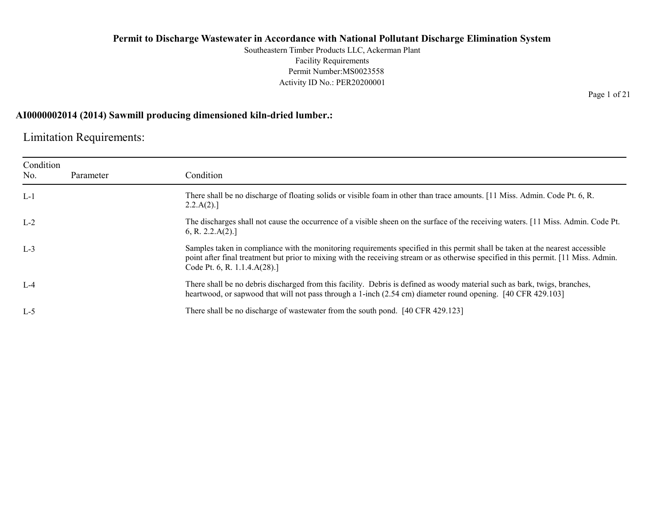Southeastern Timber Products LLC, Ackerman Plant Facility Requirements Permit Number:MS0023558 Activity ID No.: PER20200001

### AI0000002014 (2014) Sawmill producing dimensioned kiln-dried lumber.:

Limitation Requirements:

| Condition<br>No. | Parameter | Condition                                                                                                                                                                                                                                                                                              |
|------------------|-----------|--------------------------------------------------------------------------------------------------------------------------------------------------------------------------------------------------------------------------------------------------------------------------------------------------------|
| $L-1$            |           | There shall be no discharge of floating solids or visible foam in other than trace amounts. [11 Miss. Admin. Code Pt. 6, R.<br>2.2.A(2).                                                                                                                                                               |
| $L-2$            |           | The discharges shall not cause the occurrence of a visible sheen on the surface of the receiving waters. [11 Miss. Admin. Code Pt.<br>6, R. 2.2.A(2).                                                                                                                                                  |
| $L-3$            |           | Samples taken in compliance with the monitoring requirements specified in this permit shall be taken at the nearest accessible<br>point after final treatment but prior to mixing with the receiving stream or as otherwise specified in this permit. [11 Miss. Admin.<br>Code Pt. 6, R. 1.1.4.A(28).] |
| $L-4$            |           | There shall be no debris discharged from this facility. Debris is defined as woody material such as bark, twigs, branches,<br>heartwood, or sapwood that will not pass through a 1-inch (2.54 cm) diameter round opening. [40 CFR 429.103]                                                             |
| $L-5$            |           | There shall be no discharge of was tewater from the south pond. [40 CFR 429.123]                                                                                                                                                                                                                       |

Page 1 of 21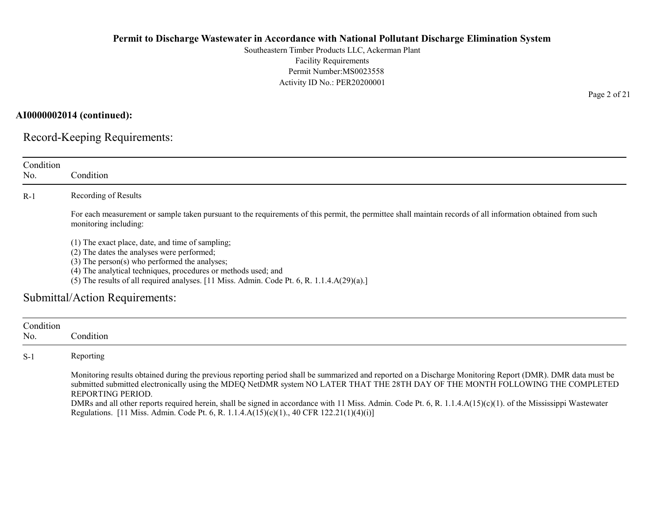Southeastern Timber Products LLC, Ackerman Plant Facility Requirements Permit Number:MS0023558 Activity ID No.: PER20200001

### AI0000002014 (continued):

Record-Keeping Requirements:

| Condition<br>No. | Condition                                                                                                                                                                                                                                                                                                            |
|------------------|----------------------------------------------------------------------------------------------------------------------------------------------------------------------------------------------------------------------------------------------------------------------------------------------------------------------|
| $R-1$            | Recording of Results                                                                                                                                                                                                                                                                                                 |
|                  | For each measurement or sample taken pursuant to the requirements of this permit, the permittee shall maintain records of all information obtained from such<br>monitoring including:                                                                                                                                |
|                  | (1) The exact place, date, and time of sampling;<br>(2) The dates the analyses were performed;<br>$(3)$ The person $(s)$ who performed the analyses;<br>(4) The analytical techniques, procedures or methods used; and<br>(5) The results of all required analyses. [11 Miss. Admin. Code Pt. 6, R. 1.1.4.A(29)(a).] |
|                  | Submittal/Action Requirements:                                                                                                                                                                                                                                                                                       |
| Condition<br>No. | Condition                                                                                                                                                                                                                                                                                                            |
| $S-1$            | Reporting                                                                                                                                                                                                                                                                                                            |

Monitoring results obtained during the previous reporting period shall be summarized and reported on a Discharge Monitoring Report (DMR). DMR data must be submitted submitted electronically using the MDEQ NetDMR system NO LATER THAT THE 28TH DAY OF THE MONTH FOLLOWING THE COMPLETED REPORTING PERIOD.

DMRs and all other reports required herein, shall be signed in accordance with 11 Miss. Admin. Code Pt. 6, R. 1.1.4.A(15)(c)(1). of the Mississippi Wastewater Regulations. [11 Miss. Admin. Code Pt. 6, R. 1.1.4.A(15)(c)(1)., 40 CFR 122.21(1)(4)(i)]

Page 2 of 21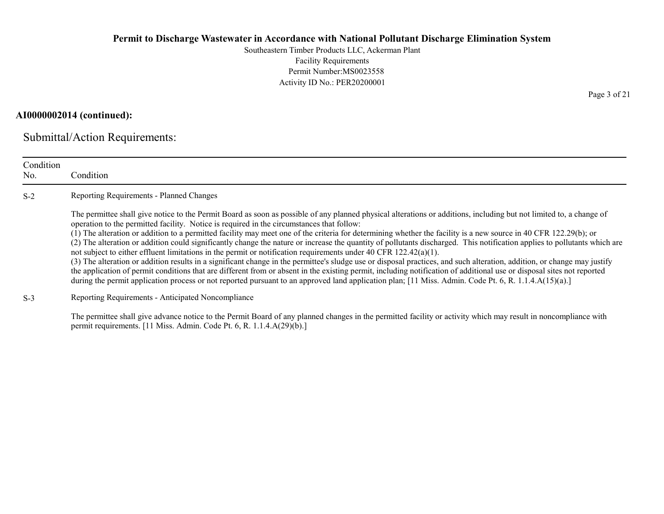Southeastern Timber Products LLC, Ackerman Plant Facility Requirements Permit Number:MS0023558 Activity ID No.: PER20200001

#### AI0000002014 (continued):

Submittal/Action Requirements:

| Condition<br>No. | Condition                                                                                                                                                                                                                                                                                                                                                                                                                                                                                                                                                                                                                                                                                                                                                                                                                                                                                                                                                                                                                                                                                                                                                                                                                                            |
|------------------|------------------------------------------------------------------------------------------------------------------------------------------------------------------------------------------------------------------------------------------------------------------------------------------------------------------------------------------------------------------------------------------------------------------------------------------------------------------------------------------------------------------------------------------------------------------------------------------------------------------------------------------------------------------------------------------------------------------------------------------------------------------------------------------------------------------------------------------------------------------------------------------------------------------------------------------------------------------------------------------------------------------------------------------------------------------------------------------------------------------------------------------------------------------------------------------------------------------------------------------------------|
| $S-2$            | Reporting Requirements - Planned Changes                                                                                                                                                                                                                                                                                                                                                                                                                                                                                                                                                                                                                                                                                                                                                                                                                                                                                                                                                                                                                                                                                                                                                                                                             |
|                  | The permittee shall give notice to the Permit Board as soon as possible of any planned physical alterations or additions, including but not limited to, a change of<br>operation to the permitted facility. Notice is required in the circumstances that follow:<br>(1) The alteration or addition to a permitted facility may meet one of the criteria for determining whether the facility is a new source in 40 CFR 122.29(b); or<br>(2) The alteration or addition could significantly change the nature or increase the quantity of pollutants discharged. This notification applies to pollutants which are<br>not subject to either effluent limitations in the permit or notification requirements under 40 CFR 122.42(a)(1).<br>(3) The alteration or addition results in a significant change in the permittee's sludge use or disposal practices, and such alteration, addition, or change may justify<br>the application of permit conditions that are different from or absent in the existing permit, including notification of additional use or disposal sites not reported<br>during the permit application process or not reported pursuant to an approved land application plan; [11 Miss. Admin. Code Pt. 6, R. 1.1.4.A(15)(a).] |
| $S-3$            | Reporting Requirements - Anticipated Noncompliance                                                                                                                                                                                                                                                                                                                                                                                                                                                                                                                                                                                                                                                                                                                                                                                                                                                                                                                                                                                                                                                                                                                                                                                                   |
|                  | The permittee shall give advance notice to the Permit Board of any planned changes in the permitted facility or activity which may result in noncompliance with<br>permit requirements. [11 Miss. Admin. Code Pt. 6, R. 1.1.4.A(29)(b).]                                                                                                                                                                                                                                                                                                                                                                                                                                                                                                                                                                                                                                                                                                                                                                                                                                                                                                                                                                                                             |

Page 3 of 21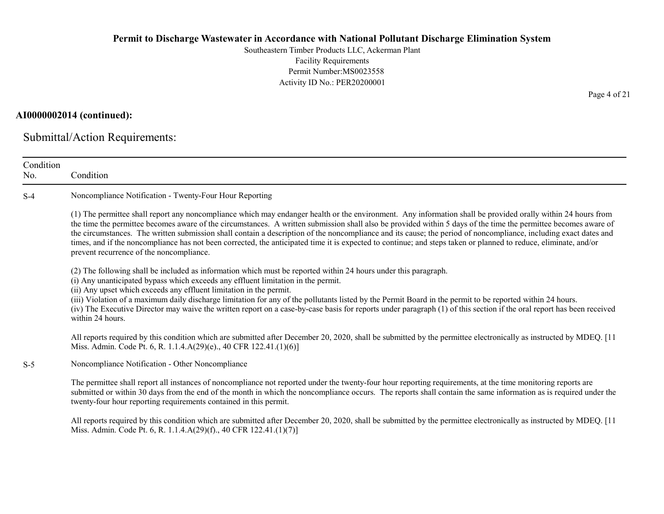Southeastern Timber Products LLC, Ackerman Plant Facility Requirements Permit Number:MS0023558 Activity ID No.: PER20200001

## AI0000002014 (continued):

Submittal/Action Requirements:

| Condition<br>No. | Condition                                                                                                                                                                                                                                                                                                                                                                                                                                                                                                                                                                                                                                                                                                           |  |  |  |
|------------------|---------------------------------------------------------------------------------------------------------------------------------------------------------------------------------------------------------------------------------------------------------------------------------------------------------------------------------------------------------------------------------------------------------------------------------------------------------------------------------------------------------------------------------------------------------------------------------------------------------------------------------------------------------------------------------------------------------------------|--|--|--|
| $S-4$            | Noncompliance Notification - Twenty-Four Hour Reporting                                                                                                                                                                                                                                                                                                                                                                                                                                                                                                                                                                                                                                                             |  |  |  |
|                  | (1) The permittee shall report any noncompliance which may endanger health or the environment. Any information shall be provided orally within 24 hours from<br>the time the permittee becomes aware of the circumstances. A written submission shall also be provided within 5 days of the time the permittee becomes aware of<br>the circumstances. The written submission shall contain a description of the noncompliance and its cause; the period of noncompliance, including exact dates and<br>times, and if the noncompliance has not been corrected, the anticipated time it is expected to continue; and steps taken or planned to reduce, eliminate, and/or<br>prevent recurrence of the noncompliance. |  |  |  |
|                  | (2) The following shall be included as information which must be reported within 24 hours under this paragraph.<br>(i) Any unanticipated bypass which exceeds any effluent limitation in the permit.<br>(ii) Any upset which exceeds any effluent limitation in the permit.<br>(iii) Violation of a maximum daily discharge limitation for any of the pollutants listed by the Permit Board in the permit to be reported within 24 hours.<br>(iv) The Executive Director may waive the written report on a case-by-case basis for reports under paragraph (1) of this section if the oral report has been received<br>within 24 hours.                                                                              |  |  |  |
|                  | All reports required by this condition which are submitted after December 20, 2020, shall be submitted by the permittee electronically as instructed by MDEQ. [11<br>Miss. Admin. Code Pt. 6, R. 1.1.4.A(29)(e)., 40 CFR 122.41.(1)(6)]                                                                                                                                                                                                                                                                                                                                                                                                                                                                             |  |  |  |
| $S-5$            | Noncompliance Notification - Other Noncompliance                                                                                                                                                                                                                                                                                                                                                                                                                                                                                                                                                                                                                                                                    |  |  |  |
|                  | The permittee shall report all instances of noncompliance not reported under the twenty-four hour reporting requirements, at the time monitoring reports are<br>submitted or within 30 days from the end of the month in which the noncompliance occurs. The reports shall contain the same information as is required under the<br>twenty-four hour reporting requirements contained in this permit.                                                                                                                                                                                                                                                                                                               |  |  |  |
|                  | All reports required by this condition which are submitted after December 20, 2020, shall be submitted by the permittee electronically as instructed by MDEQ. [11<br>Miss. Admin. Code Pt. 6, R. 1.1.4.A(29)(f)., 40 CFR 122.41.(1)(7)]                                                                                                                                                                                                                                                                                                                                                                                                                                                                             |  |  |  |

Page 4 of 21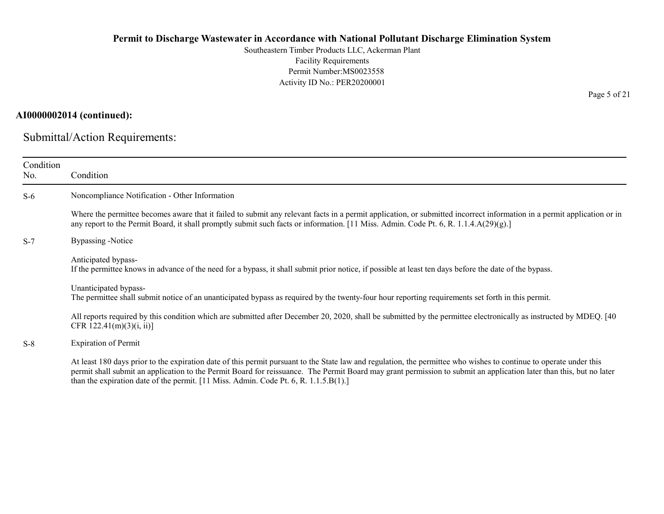Southeastern Timber Products LLC, Ackerman Plant Facility Requirements Permit Number:MS0023558 Activity ID No.: PER20200001

## AI0000002014 (continued):

Submittal/Action Requirements:

| Condition<br>No. | Condition                                                                                                                                                                                                                                                                                                                                                                                                                         |
|------------------|-----------------------------------------------------------------------------------------------------------------------------------------------------------------------------------------------------------------------------------------------------------------------------------------------------------------------------------------------------------------------------------------------------------------------------------|
| $S-6$            | Noncompliance Notification - Other Information                                                                                                                                                                                                                                                                                                                                                                                    |
|                  | Where the permittee becomes aware that it failed to submit any relevant facts in a permit application, or submitted incorrect information in a permit application or in<br>any report to the Permit Board, it shall promptly submit such facts or information. [11 Miss. Admin. Code Pt. 6, R. 1.1.4.A(29)(g).]                                                                                                                   |
| $S-7$            | Bypassing -Notice                                                                                                                                                                                                                                                                                                                                                                                                                 |
|                  | Anticipated bypass-<br>If the permittee knows in advance of the need for a bypass, it shall submit prior notice, if possible at least ten days before the date of the bypass.                                                                                                                                                                                                                                                     |
|                  | Unanticipated bypass-<br>The permittee shall submit notice of an unanticipated bypass as required by the twenty-four hour reporting requirements set forth in this permit.                                                                                                                                                                                                                                                        |
|                  | All reports required by this condition which are submitted after December 20, 2020, shall be submitted by the permittee electronically as instructed by MDEQ. [40]<br>CFR $122.41(m)(3)(i, ii)$ ]                                                                                                                                                                                                                                 |
| $S-8$            | <b>Expiration of Permit</b>                                                                                                                                                                                                                                                                                                                                                                                                       |
|                  | At least 180 days prior to the expiration date of this permit pursuant to the State law and regulation, the permittee who wishes to continue to operate under this<br>permit shall submit an application to the Permit Board for reissuance. The Permit Board may grant permission to submit an application later than this, but no later<br>than the expiration date of the permit. [11 Miss. Admin. Code Pt. 6, R. 1.1.5.B(1).] |

Page 5 of 21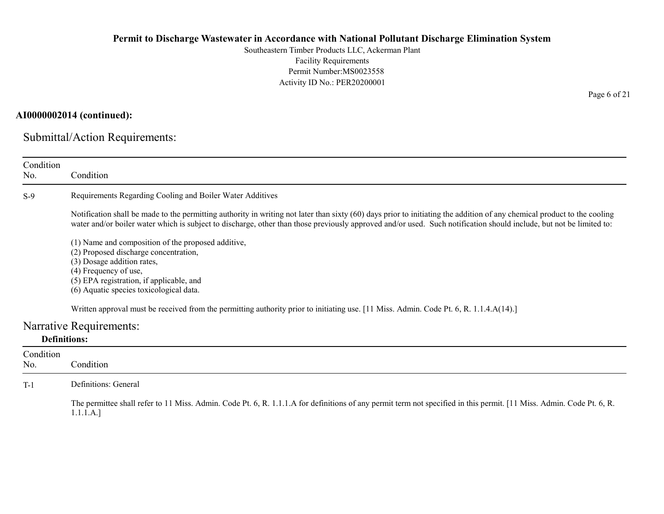Southeastern Timber Products LLC, Ackerman Plant Facility Requirements Permit Number:MS0023558 Activity ID No.: PER20200001

## AI0000002014 (continued):

Submittal/Action Requirements:

| Condition<br>No. | Condition                                                                                                                                                                                                                                                                                                                                       |  |  |  |  |
|------------------|-------------------------------------------------------------------------------------------------------------------------------------------------------------------------------------------------------------------------------------------------------------------------------------------------------------------------------------------------|--|--|--|--|
| $S-9$            | Requirements Regarding Cooling and Boiler Water Additives                                                                                                                                                                                                                                                                                       |  |  |  |  |
|                  | Notification shall be made to the permitting authority in writing not later than sixty (60) days prior to initiating the addition of any chemical product to the cooling<br>water and/or boiler water which is subject to discharge, other than those previously approved and/or used. Such notification should include, but not be limited to: |  |  |  |  |
|                  | (1) Name and composition of the proposed additive,<br>(2) Proposed discharge concentration,<br>(3) Dosage addition rates,<br>(4) Frequency of use,<br>(5) EPA registration, if applicable, and<br>(6) Aquatic species toxicological data.                                                                                                       |  |  |  |  |
|                  | Written approval must be received from the permitting authority prior to initiating use. [11 Miss. Admin. Code Pt. 6, R. 1.1.4.A(14).]                                                                                                                                                                                                          |  |  |  |  |
|                  | Narrative Requirements:                                                                                                                                                                                                                                                                                                                         |  |  |  |  |
|                  | <b>Definitions:</b>                                                                                                                                                                                                                                                                                                                             |  |  |  |  |
| Condition        |                                                                                                                                                                                                                                                                                                                                                 |  |  |  |  |
| No.              | Condition                                                                                                                                                                                                                                                                                                                                       |  |  |  |  |
| $T-1$            | Definitions: General                                                                                                                                                                                                                                                                                                                            |  |  |  |  |
|                  | The permittee shall refer to 11 Miss. Admin. Code Pt. 6, R. 1.1.1.A for definitions of any permit term not specified in this permit. [11 Miss. Admin. Code Pt. 6, R.<br>1.1.1.A.]                                                                                                                                                               |  |  |  |  |

Page 6 of 21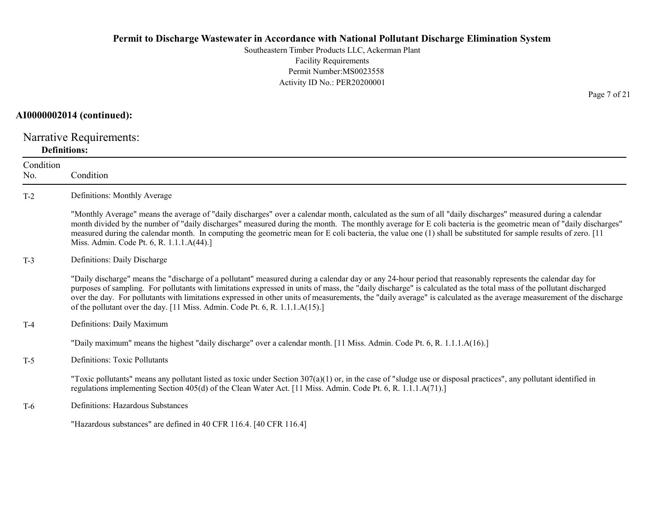Southeastern Timber Products LLC, Ackerman Plant Facility Requirements Permit Number:MS0023558 Activity ID No.: PER20200001

#### AI0000002014 (continued):

Narrative Requirements: Definitions:

Condition No. Condition T-2 Definitions: Monthly Average "Monthly Average" means the average of "daily discharges" over a calendar month, calculated as the sum of all "daily discharges" measured during a calendar month divided by the number of "daily discharges" measured during the month. The monthly average for E coli bacteria is the geometric mean of "daily discharges" measured during the calendar month. In computing the geometric mean for E coli bacteria, the value one (1) shall be substituted for sample results of zero. [11 Miss. Admin. Code Pt. 6, R. 1.1.1.A(44).] T-3 Definitions: Daily Discharge "Daily discharge" means the "discharge of a pollutant" measured during a calendar day or any 24-hour period that reasonably represents the calendar day for purposes of sampling. For pollutants with limitations expressed in units of mass, the "daily discharge" is calculated as the total mass of the pollutant discharged over the day. For pollutants with limitations expressed in other units of measurements, the "daily average" is calculated as the average measurement of the discharge of the pollutant over the day. [11 Miss. Admin. Code Pt. 6, R. 1.1.1.A(15).] T-4 Definitions: Daily Maximum "Daily maximum" means the highest "daily discharge" over a calendar month. [11 Miss. Admin. Code Pt. 6, R. 1.1.1.A(16).] T-5 Definitions: Toxic Pollutants "Toxic pollutants" means any pollutant listed as toxic under Section  $307(a)(1)$  or, in the case of "sludge use or disposal practices", any pollutant identified in regulations implementing Section 405(d) of the Clean Water Act. [11 Miss. Admin. Code Pt. 6, R. 1.1.1.A(71).] T-6 Definitions: Hazardous Substances "Hazardous substances" are defined in 40 CFR 116.4. [40 CFR 116.4]

Page 7 of 21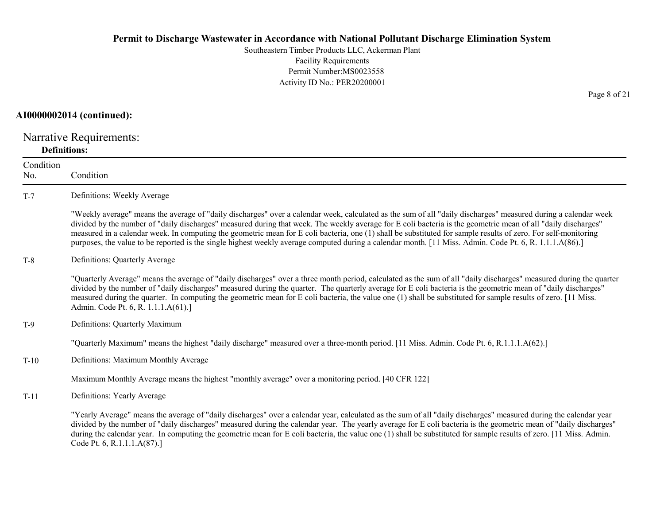Southeastern Timber Products LLC, Ackerman Plant Facility Requirements Permit Number:MS0023558 Activity ID No.: PER20200001

#### AI0000002014 (continued):

Narrative Requirements: Definitions:

Condition No. Condition T-7 Definitions: Weekly Average "Weekly average" means the average of "daily discharges" over a calendar week, calculated as the sum of all "daily discharges" measured during a calendar week divided by the number of "daily discharges" measured during that week. The weekly average for E coli bacteria is the geometric mean of all "daily discharges" measured in a calendar week. In computing the geometric mean for E coli bacteria, one (1) shall be substituted for sample results of zero. For self-monitoring purposes, the value to be reported is the single highest weekly average computed during a calendar month. [11 Miss. Admin. Code Pt. 6, R. 1.1.1.A(86).] T-8 Definitions: Quarterly Average "Quarterly Average" means the average of "daily discharges" over a three month period, calculated as the sum of all "daily discharges" measured during the quarter divided by the number of "daily discharges" measured during the quarter. The quarterly average for E coli bacteria is the geometric mean of "daily discharges" measured during the quarter. In computing the geometric mean for E coli bacteria, the value one (1) shall be substituted for sample results of zero. [11 Miss. Admin. Code Pt. 6, R. 1.1.1.A(61).] T-9 Definitions: Quarterly Maximum "Quarterly Maximum" means the highest "daily discharge" measured over a three-month period. [11 Miss. Admin. Code Pt. 6, R.1.1.1.A(62).] T-10 Definitions: Maximum Monthly Average Maximum Monthly Average means the highest "monthly average" over a monitoring period. [40 CFR 122] T-11 Definitions: Yearly Average "Yearly Average" means the average of "daily discharges" over a calendar year, calculated as the sum of all "daily discharges" measured during the calendar year divided by the number of "daily discharges" measured during the calendar year. The yearly average for E coli bacteria is the geometric mean of "daily discharges" during the calendar year. In computing the geometric mean for E coli bacteria, the value one (1) shall be substituted for sample results of zero. [11 Miss. Admin. Code Pt. 6, R.1.1.1.A(87).]

Page 8 of 21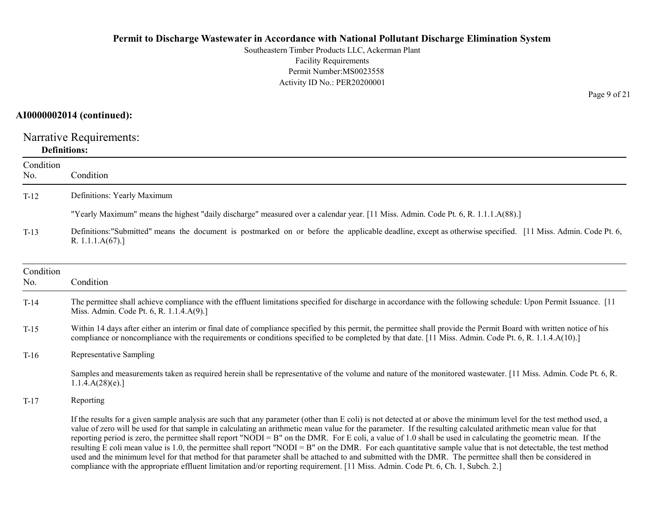Southeastern Timber Products LLC, Ackerman Plant Facility Requirements Permit Number:MS0023558 Activity ID No.: PER20200001

## AI0000002014 (continued):

Narrative Requirements: Definitions:

| Condition<br>No. | Condition                                                                                                                                                                                                                                                                                                                                                                                                                                                                                                                                                                                                                                                                                                                                                                                                                                                                                                                                                                      |
|------------------|--------------------------------------------------------------------------------------------------------------------------------------------------------------------------------------------------------------------------------------------------------------------------------------------------------------------------------------------------------------------------------------------------------------------------------------------------------------------------------------------------------------------------------------------------------------------------------------------------------------------------------------------------------------------------------------------------------------------------------------------------------------------------------------------------------------------------------------------------------------------------------------------------------------------------------------------------------------------------------|
| $T-12$           | Definitions: Yearly Maximum                                                                                                                                                                                                                                                                                                                                                                                                                                                                                                                                                                                                                                                                                                                                                                                                                                                                                                                                                    |
|                  | "Yearly Maximum" means the highest "daily discharge" measured over a calendar year. [11 Miss. Admin. Code Pt. 6, R. 1.1.1.A(88).]                                                                                                                                                                                                                                                                                                                                                                                                                                                                                                                                                                                                                                                                                                                                                                                                                                              |
| $T-13$           | Definitions: "Submitted" means the document is postmarked on or before the applicable deadline, except as otherwise specified. [11 Miss. Admin. Code Pt. 6,<br>R. $1.1.1.A(67).$                                                                                                                                                                                                                                                                                                                                                                                                                                                                                                                                                                                                                                                                                                                                                                                               |
| Condition<br>No. | Condition                                                                                                                                                                                                                                                                                                                                                                                                                                                                                                                                                                                                                                                                                                                                                                                                                                                                                                                                                                      |
| $T-14$           | The permittee shall achieve compliance with the effluent limitations specified for discharge in accordance with the following schedule: Upon Permit Issuance. [11]<br>Miss. Admin. Code Pt. 6, R. 1.1.4.A(9).]                                                                                                                                                                                                                                                                                                                                                                                                                                                                                                                                                                                                                                                                                                                                                                 |
| $T-15$           | Within 14 days after either an interim or final date of compliance specified by this permit, the permittee shall provide the Permit Board with written notice of his<br>compliance or noncompliance with the requirements or conditions specified to be completed by that date. [11 Miss. Admin. Code Pt. 6, R. 1.1.4.A(10).]                                                                                                                                                                                                                                                                                                                                                                                                                                                                                                                                                                                                                                                  |
| $T-16$           | Representative Sampling                                                                                                                                                                                                                                                                                                                                                                                                                                                                                                                                                                                                                                                                                                                                                                                                                                                                                                                                                        |
|                  | Samples and measurements taken as required herein shall be representative of the volume and nature of the monitored wastewater. [11 Miss. Admin. Code Pt. 6, R.<br>1.1.4.A(28)(e).                                                                                                                                                                                                                                                                                                                                                                                                                                                                                                                                                                                                                                                                                                                                                                                             |
| $T-17$           | Reporting                                                                                                                                                                                                                                                                                                                                                                                                                                                                                                                                                                                                                                                                                                                                                                                                                                                                                                                                                                      |
|                  | If the results for a given sample analysis are such that any parameter (other than E coli) is not detected at or above the minimum level for the test method used, a<br>value of zero will be used for that sample in calculating an arithmetic mean value for the parameter. If the resulting calculated arithmetic mean value for that<br>reporting period is zero, the permittee shall report "NODI = B" on the DMR. For E coli, a value of 1.0 shall be used in calculating the geometric mean. If the<br>resulting E coli mean value is 1.0, the permittee shall report "NODI = B" on the DMR. For each quantitative sample value that is not detectable, the test method<br>used and the minimum level for that method for that parameter shall be attached to and submitted with the DMR. The permittee shall then be considered in<br>compliance with the appropriate effluent limitation and/or reporting requirement. [11 Miss. Admin. Code Pt. 6, Ch. 1, Subch. 2.] |

Page 9 of 21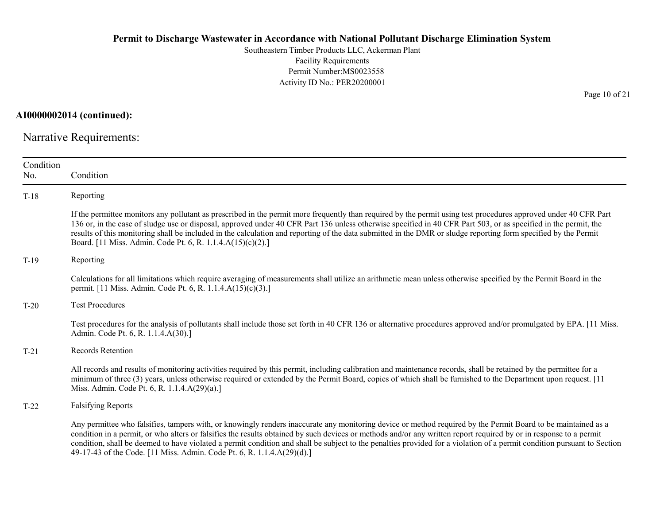Southeastern Timber Products LLC, Ackerman Plant Facility Requirements Permit Number:MS0023558 Activity ID No.: PER20200001

AI0000002014 (continued):

Narrative Requirements:

| Condition<br>No. | Condition                                                                                                                                                                                                                                                                                                                                                                                                                                                                                                                                                                                |
|------------------|------------------------------------------------------------------------------------------------------------------------------------------------------------------------------------------------------------------------------------------------------------------------------------------------------------------------------------------------------------------------------------------------------------------------------------------------------------------------------------------------------------------------------------------------------------------------------------------|
| $T-18$           | Reporting                                                                                                                                                                                                                                                                                                                                                                                                                                                                                                                                                                                |
|                  | If the permittee monitors any pollutant as prescribed in the permit more frequently than required by the permit using test procedures approved under 40 CFR Part<br>136 or, in the case of sludge use or disposal, approved under 40 CFR Part 136 unless otherwise specified in 40 CFR Part 503, or as specified in the permit, the<br>results of this monitoring shall be included in the calculation and reporting of the data submitted in the DMR or sludge reporting form specified by the Permit<br>Board. [11 Miss. Admin. Code Pt. 6, R. 1.1.4.A(15)(c)(2).]                     |
| $T-19$           | Reporting                                                                                                                                                                                                                                                                                                                                                                                                                                                                                                                                                                                |
|                  | Calculations for all limitations which require averaging of measurements shall utilize an arithmetic mean unless otherwise specified by the Permit Board in the<br>permit. [11 Miss. Admin. Code Pt. 6, R. 1.1.4.A(15)(c)(3).]                                                                                                                                                                                                                                                                                                                                                           |
| $T-20$           | <b>Test Procedures</b>                                                                                                                                                                                                                                                                                                                                                                                                                                                                                                                                                                   |
|                  | Test procedures for the analysis of pollutants shall include those set forth in 40 CFR 136 or alternative procedures approved and/or promulgated by EPA. [11 Miss.]<br>Admin. Code Pt. 6, R. 1.1.4.A(30).]                                                                                                                                                                                                                                                                                                                                                                               |
| $T-21$           | <b>Records Retention</b>                                                                                                                                                                                                                                                                                                                                                                                                                                                                                                                                                                 |
|                  | All records and results of monitoring activities required by this permit, including calibration and maintenance records, shall be retained by the permittee for a<br>minimum of three (3) years, unless otherwise required or extended by the Permit Board, copies of which shall be furnished to the Department upon request. [11]<br>Miss. Admin. Code Pt. 6, R. 1.1.4.A(29)(a).]                                                                                                                                                                                                      |
| $T-22$           | <b>Falsifying Reports</b>                                                                                                                                                                                                                                                                                                                                                                                                                                                                                                                                                                |
|                  | Any permittee who falsifies, tampers with, or knowingly renders inaccurate any monitoring device or method required by the Permit Board to be maintained as a<br>condition in a permit, or who alters or falsifies the results obtained by such devices or methods and/or any written report required by or in response to a permit<br>condition, shall be deemed to have violated a permit condition and shall be subject to the penalties provided for a violation of a permit condition pursuant to Section<br>49-17-43 of the Code. [11 Miss. Admin. Code Pt. 6, R. 1.1.4.A(29)(d).] |

Page 10 of 21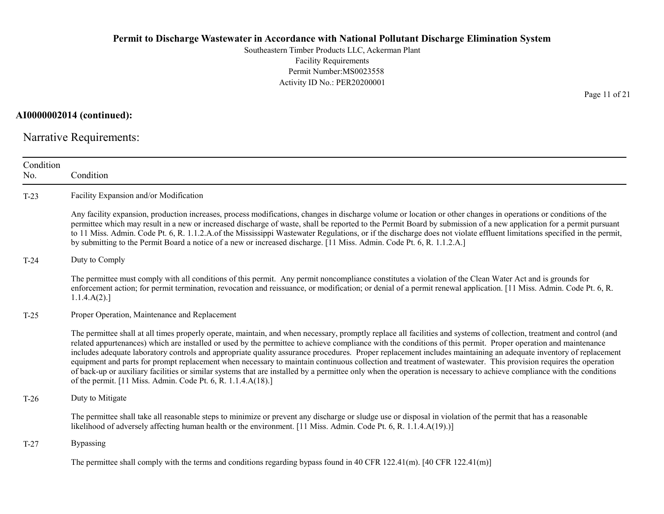Southeastern Timber Products LLC, Ackerman Plant Facility Requirements Permit Number:MS0023558 Activity ID No.: PER20200001

## AI0000002014 (continued):

Narrative Requirements:

| Condition<br>No. | Condition                                                                                                                                                                                                                                                                                                                                                                                                                                                                                                                                                                                                                                                                                                                                                                                                                                                                                                                |
|------------------|--------------------------------------------------------------------------------------------------------------------------------------------------------------------------------------------------------------------------------------------------------------------------------------------------------------------------------------------------------------------------------------------------------------------------------------------------------------------------------------------------------------------------------------------------------------------------------------------------------------------------------------------------------------------------------------------------------------------------------------------------------------------------------------------------------------------------------------------------------------------------------------------------------------------------|
| $T-23$           | Facility Expansion and/or Modification                                                                                                                                                                                                                                                                                                                                                                                                                                                                                                                                                                                                                                                                                                                                                                                                                                                                                   |
|                  | Any facility expansion, production increases, process modifications, changes in discharge volume or location or other changes in operations or conditions of the<br>permittee which may result in a new or increased discharge of waste, shall be reported to the Permit Board by submission of a new application for a permit pursuant<br>to 11 Miss. Admin. Code Pt. 6, R. 1.1.2.A.of the Mississippi Wastewater Regulations, or if the discharge does not violate effluent limitations specified in the permit,<br>by submitting to the Permit Board a notice of a new or increased discharge. [11 Miss. Admin. Code Pt. 6, R. 1.1.2.A.]                                                                                                                                                                                                                                                                              |
| $T-24$           | Duty to Comply                                                                                                                                                                                                                                                                                                                                                                                                                                                                                                                                                                                                                                                                                                                                                                                                                                                                                                           |
|                  | The permittee must comply with all conditions of this permit. Any permit noncompliance constitutes a violation of the Clean Water Act and is grounds for<br>enforcement action; for permit termination, revocation and reissuance, or modification; or denial of a permit renewal application. [11 Miss. Admin. Code Pt. 6, R.<br>1.1.4.A(2).                                                                                                                                                                                                                                                                                                                                                                                                                                                                                                                                                                            |
| $T-25$           | Proper Operation, Maintenance and Replacement                                                                                                                                                                                                                                                                                                                                                                                                                                                                                                                                                                                                                                                                                                                                                                                                                                                                            |
|                  | The permittee shall at all times properly operate, maintain, and when necessary, promptly replace all facilities and systems of collection, treatment and control (and<br>related appurtenances) which are installed or used by the permittee to achieve compliance with the conditions of this permit. Proper operation and maintenance<br>includes adequate laboratory controls and appropriate quality assurance procedures. Proper replacement includes maintaining an adequate inventory of replacement<br>equipment and parts for prompt replacement when necessary to maintain continuous collection and treatment of wastewater. This provision requires the operation<br>of back-up or auxiliary facilities or similar systems that are installed by a permittee only when the operation is necessary to achieve compliance with the conditions<br>of the permit. [11 Miss. Admin. Code Pt. 6, R. 1.1.4.A(18).] |
| $T-26$           | Duty to Mitigate                                                                                                                                                                                                                                                                                                                                                                                                                                                                                                                                                                                                                                                                                                                                                                                                                                                                                                         |
|                  | The permittee shall take all reasonable steps to minimize or prevent any discharge or sludge use or disposal in violation of the permit that has a reasonable<br>likelihood of adversely affecting human health or the environment. [11 Miss. Admin. Code Pt. 6, R. 1.1.4.A(19).)]                                                                                                                                                                                                                                                                                                                                                                                                                                                                                                                                                                                                                                       |
| $T-27$           | <b>Bypassing</b>                                                                                                                                                                                                                                                                                                                                                                                                                                                                                                                                                                                                                                                                                                                                                                                                                                                                                                         |
|                  | The permittee shall comply with the terms and conditions regarding bypass found in 40 CFR 122.41(m). [40 CFR 122.41(m)]                                                                                                                                                                                                                                                                                                                                                                                                                                                                                                                                                                                                                                                                                                                                                                                                  |

Page 11 of 21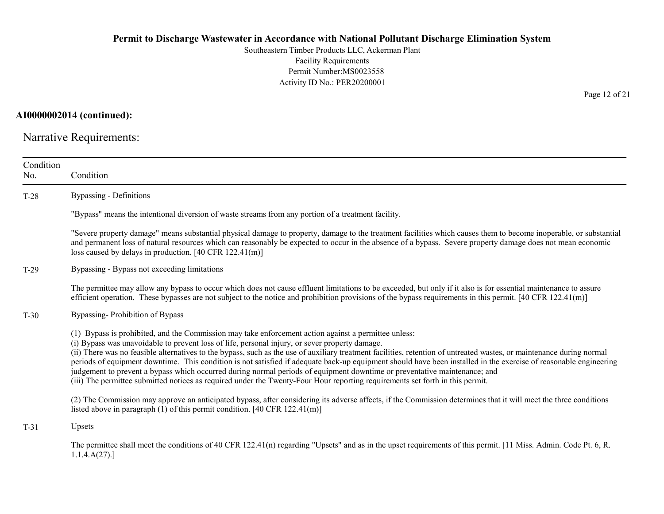Southeastern Timber Products LLC, Ackerman Plant Facility Requirements Permit Number:MS0023558 Activity ID No.: PER20200001

AI0000002014 (continued):

Narrative Requirements:

| Condition<br>No. | Condition                                                                                                                                                                                                                                                                                                                                                                                                                                                                                                                                                                                                                                                                                                                                                                                                          |
|------------------|--------------------------------------------------------------------------------------------------------------------------------------------------------------------------------------------------------------------------------------------------------------------------------------------------------------------------------------------------------------------------------------------------------------------------------------------------------------------------------------------------------------------------------------------------------------------------------------------------------------------------------------------------------------------------------------------------------------------------------------------------------------------------------------------------------------------|
| T-28             | <b>Bypassing - Definitions</b>                                                                                                                                                                                                                                                                                                                                                                                                                                                                                                                                                                                                                                                                                                                                                                                     |
|                  | "Bypass" means the intentional diversion of waste streams from any portion of a treatment facility.                                                                                                                                                                                                                                                                                                                                                                                                                                                                                                                                                                                                                                                                                                                |
|                  | "Severe property damage" means substantial physical damage to property, damage to the treatment facilities which causes them to become inoperable, or substantial<br>and permanent loss of natural resources which can reasonably be expected to occur in the absence of a bypass. Severe property damage does not mean economic<br>loss caused by delays in production. [40 CFR $122.41(m)$ ]                                                                                                                                                                                                                                                                                                                                                                                                                     |
| $T-29$           | Bypassing - Bypass not exceeding limitations                                                                                                                                                                                                                                                                                                                                                                                                                                                                                                                                                                                                                                                                                                                                                                       |
|                  | The permittee may allow any bypass to occur which does not cause effluent limitations to be exceeded, but only if it also is for essential maintenance to assure<br>efficient operation. These bypasses are not subject to the notice and prohibition provisions of the bypass requirements in this permit. [40 CFR 122.41(m)]                                                                                                                                                                                                                                                                                                                                                                                                                                                                                     |
| $T-30$           | Bypassing-Prohibition of Bypass                                                                                                                                                                                                                                                                                                                                                                                                                                                                                                                                                                                                                                                                                                                                                                                    |
|                  | (1) Bypass is prohibited, and the Commission may take enforcement action against a permittee unless:<br>(i) Bypass was unavoidable to prevent loss of life, personal injury, or sever property damage.<br>(ii) There was no feasible alternatives to the bypass, such as the use of auxiliary treatment facilities, retention of untreated wastes, or maintenance during normal<br>periods of equipment downtime. This condition is not satisfied if adequate back-up equipment should have been installed in the exercise of reasonable engineering<br>judgement to prevent a bypass which occurred during normal periods of equipment downtime or preventative maintenance; and<br>(iii) The permittee submitted notices as required under the Twenty-Four Hour reporting requirements set forth in this permit. |
|                  | (2) The Commission may approve an anticipated bypass, after considering its adverse affects, if the Commission determines that it will meet the three conditions<br>listed above in paragraph $(1)$ of this permit condition. [40 CFR 122.41(m)]                                                                                                                                                                                                                                                                                                                                                                                                                                                                                                                                                                   |
| $T-31$           | Upsets                                                                                                                                                                                                                                                                                                                                                                                                                                                                                                                                                                                                                                                                                                                                                                                                             |
|                  | The permittee shall meet the conditions of 40 CFR 122.41(n) regarding "Upsets" and as in the upset requirements of this permit. [11 Miss. Admin. Code Pt. 6, R.<br>1.1.4.A(27).                                                                                                                                                                                                                                                                                                                                                                                                                                                                                                                                                                                                                                    |

Page 12 of 21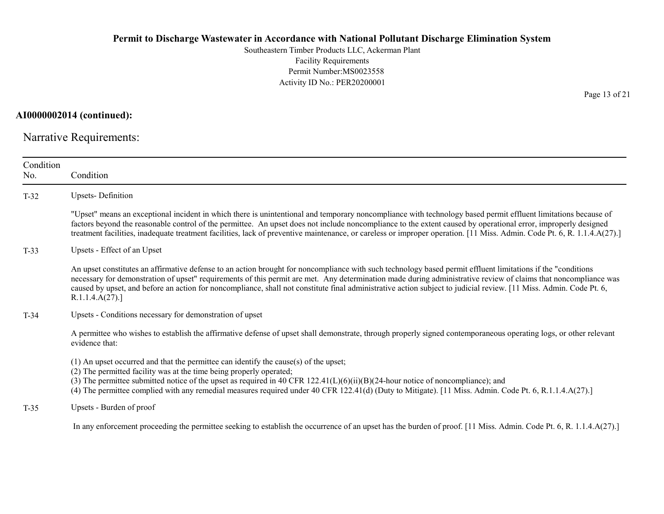Southeastern Timber Products LLC, Ackerman Plant Facility Requirements Permit Number:MS0023558 Activity ID No.: PER20200001

AI0000002014 (continued):

Narrative Requirements:

| Condition<br>No. | Condition                                                                                                                                                                                                                                                                                                                                                                                                                                                                                                                |
|------------------|--------------------------------------------------------------------------------------------------------------------------------------------------------------------------------------------------------------------------------------------------------------------------------------------------------------------------------------------------------------------------------------------------------------------------------------------------------------------------------------------------------------------------|
| $T-32$           | <b>Upsets-Definition</b>                                                                                                                                                                                                                                                                                                                                                                                                                                                                                                 |
|                  | "Upset" means an exceptional incident in which there is unintentional and temporary noncompliance with technology based permit effluent limitations because of<br>factors beyond the reasonable control of the permittee. An upset does not include noncompliance to the extent caused by operational error, improperly designed<br>treatment facilities, inadequate treatment facilities, lack of preventive maintenance, or careless or improper operation. [11 Miss. Admin. Code Pt. 6, R. 1.1.4.A(27).]              |
| $T-33$           | Upsets - Effect of an Upset                                                                                                                                                                                                                                                                                                                                                                                                                                                                                              |
|                  | An upset constitutes an affirmative defense to an action brought for noncompliance with such technology based permit effluent limitations if the "conditions"<br>necessary for demonstration of upset" requirements of this permit are met. Any determination made during administrative review of claims that noncompliance was<br>caused by upset, and before an action for noncompliance, shall not constitute final administrative action subject to judicial review. [11 Miss. Admin. Code Pt. 6,<br>R.1.1.4.A(27). |
| $T-34$           | Upsets - Conditions necessary for demonstration of upset                                                                                                                                                                                                                                                                                                                                                                                                                                                                 |
|                  | A permittee who wishes to establish the affirmative defense of upset shall demonstrate, through properly signed contemporaneous operating logs, or other relevant<br>evidence that:                                                                                                                                                                                                                                                                                                                                      |
|                  | $(1)$ An upset occurred and that the permittee can identify the cause(s) of the upset;<br>(2) The permitted facility was at the time being properly operated;<br>(3) The permittee submitted notice of the upset as required in 40 CFR $122.41(L)(6)(ii)(B)(24-hour notice of noncompliance)$ ; and<br>(4) The permittee complied with any remedial measures required under 40 CFR 122.41(d) (Duty to Mitigate). [11 Miss. Admin. Code Pt. 6, R.1.1.4.A(27).]                                                            |
| $T-35$           | Upsets - Burden of proof                                                                                                                                                                                                                                                                                                                                                                                                                                                                                                 |
|                  | In any enforcement proceeding the permittee seeking to establish the occurrence of an upset has the burden of proof. [11 Miss. Admin. Code Pt. 6, R. 1.1.4.A(27).]                                                                                                                                                                                                                                                                                                                                                       |

Page 13 of 21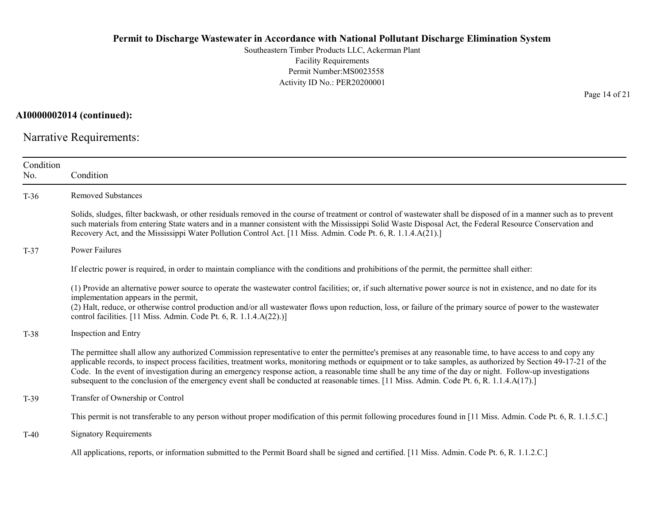Southeastern Timber Products LLC, Ackerman Plant Facility Requirements Permit Number:MS0023558 Activity ID No.: PER20200001

AI0000002014 (continued):

Narrative Requirements:

| Condition<br>No. | Condition                                                                                                                                                                                                                                                                                                                                                                                                                                                                                                                                                                                                                                  |
|------------------|--------------------------------------------------------------------------------------------------------------------------------------------------------------------------------------------------------------------------------------------------------------------------------------------------------------------------------------------------------------------------------------------------------------------------------------------------------------------------------------------------------------------------------------------------------------------------------------------------------------------------------------------|
| $T-36$           | <b>Removed Substances</b>                                                                                                                                                                                                                                                                                                                                                                                                                                                                                                                                                                                                                  |
|                  | Solids, sludges, filter backwash, or other residuals removed in the course of treatment or control of wastewater shall be disposed of in a manner such as to prevent<br>such materials from entering State waters and in a manner consistent with the Mississippi Solid Waste Disposal Act, the Federal Resource Conservation and<br>Recovery Act, and the Mississippi Water Pollution Control Act. [11 Miss. Admin. Code Pt. 6, R. 1.1.4.A(21).]                                                                                                                                                                                          |
| $T-37$           | <b>Power Failures</b>                                                                                                                                                                                                                                                                                                                                                                                                                                                                                                                                                                                                                      |
|                  | If electric power is required, in order to maintain compliance with the conditions and prohibitions of the permit, the permittee shall either:                                                                                                                                                                                                                                                                                                                                                                                                                                                                                             |
|                  | (1) Provide an alternative power source to operate the wastewater control facilities; or, if such alternative power source is not in existence, and no date for its<br>implementation appears in the permit,<br>(2) Halt, reduce, or otherwise control production and/or all wastewater flows upon reduction, loss, or failure of the primary source of power to the wastewater<br>control facilities. [11 Miss. Admin. Code Pt. 6, R. 1.1.4.A(22).)]                                                                                                                                                                                      |
| $T-38$           | Inspection and Entry                                                                                                                                                                                                                                                                                                                                                                                                                                                                                                                                                                                                                       |
|                  | The permittee shall allow any authorized Commission representative to enter the permittee's premises at any reasonable time, to have access to and copy any<br>applicable records, to inspect process facilities, treatment works, monitoring methods or equipment or to take samples, as authorized by Section 49-17-21 of the<br>Code. In the event of investigation during an emergency response action, a reasonable time shall be any time of the day or night. Follow-up investigations<br>subsequent to the conclusion of the emergency event shall be conducted at reasonable times. [11 Miss. Admin. Code Pt. 6, R. 1.1.4.A(17).] |
| $T-39$           | Transfer of Ownership or Control                                                                                                                                                                                                                                                                                                                                                                                                                                                                                                                                                                                                           |
|                  | This permit is not transferable to any person without proper modification of this permit following procedures found in [11 Miss. Admin. Code Pt. 6, R. 1.1.5.C.]                                                                                                                                                                                                                                                                                                                                                                                                                                                                           |
| $T-40$           | <b>Signatory Requirements</b>                                                                                                                                                                                                                                                                                                                                                                                                                                                                                                                                                                                                              |
|                  | All applications, reports, or information submitted to the Permit Board shall be signed and certified. [11 Miss. Admin. Code Pt. 6, R. 1.1.2.C.]                                                                                                                                                                                                                                                                                                                                                                                                                                                                                           |

Page 14 of 21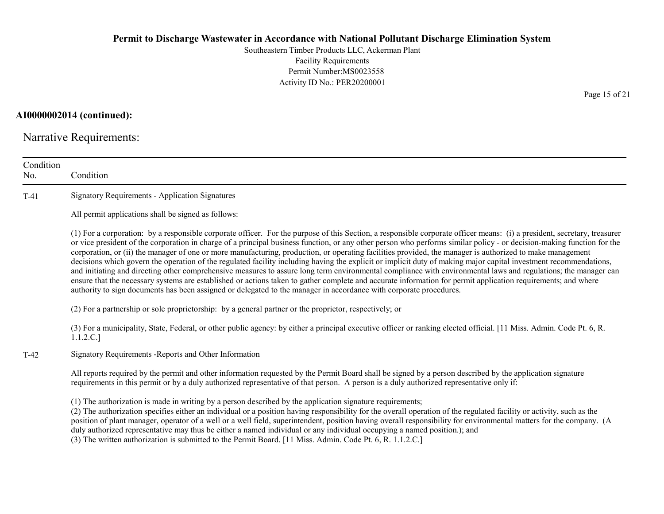Southeastern Timber Products LLC, Ackerman Plant Facility Requirements Permit Number:MS0023558 Activity ID No.: PER20200001

AI0000002014 (continued):

Narrative Requirements:

| Condition<br>No. | Condition                                                                                                                                                                                                                                                                                                                                                                                                                                                                                                                                                                                                                                                                                                                                                                                                                                                                                                                                                                                                                                                                                                                                      |
|------------------|------------------------------------------------------------------------------------------------------------------------------------------------------------------------------------------------------------------------------------------------------------------------------------------------------------------------------------------------------------------------------------------------------------------------------------------------------------------------------------------------------------------------------------------------------------------------------------------------------------------------------------------------------------------------------------------------------------------------------------------------------------------------------------------------------------------------------------------------------------------------------------------------------------------------------------------------------------------------------------------------------------------------------------------------------------------------------------------------------------------------------------------------|
| $T-41$           | <b>Signatory Requirements - Application Signatures</b>                                                                                                                                                                                                                                                                                                                                                                                                                                                                                                                                                                                                                                                                                                                                                                                                                                                                                                                                                                                                                                                                                         |
|                  | All permit applications shall be signed as follows:                                                                                                                                                                                                                                                                                                                                                                                                                                                                                                                                                                                                                                                                                                                                                                                                                                                                                                                                                                                                                                                                                            |
|                  | (1) For a corporation: by a responsible corporate officer. For the purpose of this Section, a responsible corporate officer means: (i) a president, secretary, treasurer<br>or vice president of the corporation in charge of a principal business function, or any other person who performs similar policy - or decision-making function for the<br>corporation, or (ii) the manager of one or more manufacturing, production, or operating facilities provided, the manager is authorized to make management<br>decisions which govern the operation of the regulated facility including having the explicit or implicit duty of making major capital investment recommendations,<br>and initiating and directing other comprehensive measures to assure long term environmental compliance with environmental laws and regulations; the manager can<br>ensure that the necessary systems are established or actions taken to gather complete and accurate information for permit application requirements; and where<br>authority to sign documents has been assigned or delegated to the manager in accordance with corporate procedures. |
|                  | (2) For a partnership or sole proprietorship: by a general partner or the proprietor, respectively; or                                                                                                                                                                                                                                                                                                                                                                                                                                                                                                                                                                                                                                                                                                                                                                                                                                                                                                                                                                                                                                         |
|                  | (3) For a municipality, State, Federal, or other public agency: by either a principal executive officer or ranking elected official. [11 Miss. Admin. Code Pt. 6, R.<br>1.1.2.C.]                                                                                                                                                                                                                                                                                                                                                                                                                                                                                                                                                                                                                                                                                                                                                                                                                                                                                                                                                              |
| $T-42$           | Signatory Requirements - Reports and Other Information                                                                                                                                                                                                                                                                                                                                                                                                                                                                                                                                                                                                                                                                                                                                                                                                                                                                                                                                                                                                                                                                                         |
|                  | All reports required by the permit and other information requested by the Permit Board shall be signed by a person described by the application signature<br>requirements in this permit or by a duly authorized representative of that person. A person is a duly authorized representative only if:                                                                                                                                                                                                                                                                                                                                                                                                                                                                                                                                                                                                                                                                                                                                                                                                                                          |
|                  | (1) The authorization is made in writing by a person described by the application signature requirements;<br>(2) The authorization specifies either an individual or a position having responsibility for the overall operation of the regulated facility or activity, such as the<br>position of plant manager, operator of a well or a well field, superintendent, position having overall responsibility for environmental matters for the company. (A<br>duly authorized representative may thus be either a named individual or any individual occupying a named position.); and<br>(3) The written authorization is submitted to the Permit Board. [11 Miss. Admin. Code Pt. 6, R. 1.1.2.C.]                                                                                                                                                                                                                                                                                                                                                                                                                                             |

Page 15 of 21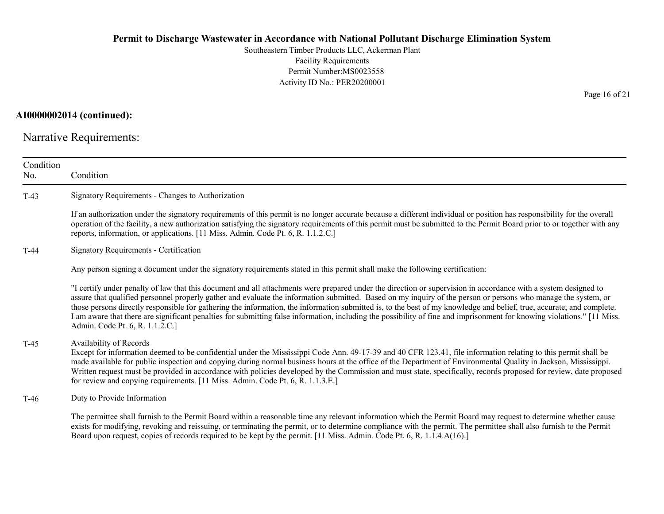Southeastern Timber Products LLC, Ackerman Plant Facility Requirements Permit Number:MS0023558 Activity ID No.: PER20200001

## AI0000002014 (continued):

Narrative Requirements:

| Condition<br>No. | Condition                                                                                                                                                                                                                                                                                                                                                                                                                                                                                                                                                                                                                                                                                                                |
|------------------|--------------------------------------------------------------------------------------------------------------------------------------------------------------------------------------------------------------------------------------------------------------------------------------------------------------------------------------------------------------------------------------------------------------------------------------------------------------------------------------------------------------------------------------------------------------------------------------------------------------------------------------------------------------------------------------------------------------------------|
| $T-43$           | Signatory Requirements - Changes to Authorization                                                                                                                                                                                                                                                                                                                                                                                                                                                                                                                                                                                                                                                                        |
|                  | If an authorization under the signatory requirements of this permit is no longer accurate because a different individual or position has responsibility for the overall<br>operation of the facility, a new authorization satisfying the signatory requirements of this permit must be submitted to the Permit Board prior to or together with any<br>reports, information, or applications. [11 Miss. Admin. Code Pt. 6, R. 1.1.2.C.]                                                                                                                                                                                                                                                                                   |
| $T-44$           | Signatory Requirements - Certification                                                                                                                                                                                                                                                                                                                                                                                                                                                                                                                                                                                                                                                                                   |
|                  | Any person signing a document under the signatory requirements stated in this permit shall make the following certification:                                                                                                                                                                                                                                                                                                                                                                                                                                                                                                                                                                                             |
|                  | "I certify under penalty of law that this document and all attachments were prepared under the direction or supervision in accordance with a system designed to<br>assure that qualified personnel properly gather and evaluate the information submitted. Based on my inquiry of the person or persons who manage the system, or<br>those persons directly responsible for gathering the information, the information submitted is, to the best of my knowledge and belief, true, accurate, and complete.<br>I am aware that there are significant penalties for submitting false information, including the possibility of fine and imprisonment for knowing violations." [11 Miss.<br>Admin. Code Pt. 6, R. 1.1.2.C.] |
| $T-45$           | Availability of Records<br>Except for information deemed to be confidential under the Mississippi Code Ann. 49-17-39 and 40 CFR 123.41, file information relating to this permit shall be<br>made available for public inspection and copying during normal business hours at the office of the Department of Environmental Quality in Jackson, Mississippi.<br>Written request must be provided in accordance with policies developed by the Commission and must state, specifically, records proposed for review, date proposed<br>for review and copying requirements. [11 Miss. Admin. Code Pt. 6, R. 1.1.3.E.]                                                                                                      |
| $T-46$           | Duty to Provide Information                                                                                                                                                                                                                                                                                                                                                                                                                                                                                                                                                                                                                                                                                              |
|                  | The permittee shall furnish to the Permit Board within a reasonable time any relevant information which the Permit Board may request to determine whether cause<br>exists for modifying, revoking and reissuing, or terminating the permit, or to determine compliance with the permit. The permittee shall also furnish to the Permit<br>Board upon request, copies of records required to be kept by the permit. [11 Miss. Admin. Code Pt. 6, R. 1.1.4.A(16).]                                                                                                                                                                                                                                                         |

Page 16 of 21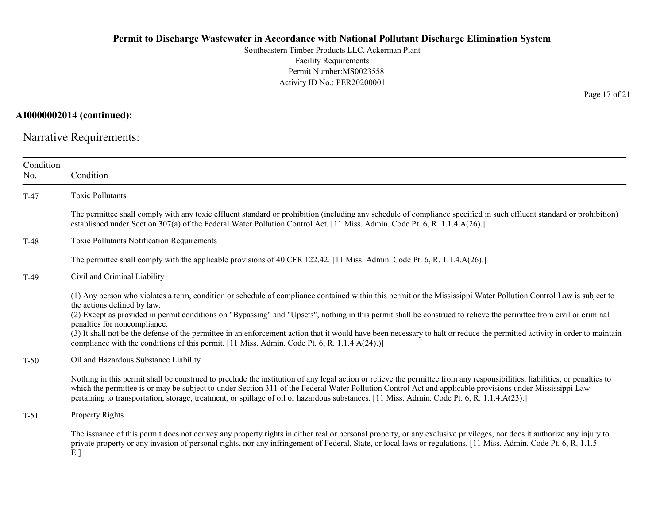Southeastern Timber Products LLC, Ackerman Plant Facility Requirements Permit Number:MS0023558 Activity ID No.: PER20200001

AI0000002014 (continued):

Narrative Requirements:

| Condition<br>No. | Condition                                                                                                                                                                                                                                                                                                                                                                                                                                                                                                                                                                                                                                                                            |
|------------------|--------------------------------------------------------------------------------------------------------------------------------------------------------------------------------------------------------------------------------------------------------------------------------------------------------------------------------------------------------------------------------------------------------------------------------------------------------------------------------------------------------------------------------------------------------------------------------------------------------------------------------------------------------------------------------------|
| $T-47$           | <b>Toxic Pollutants</b>                                                                                                                                                                                                                                                                                                                                                                                                                                                                                                                                                                                                                                                              |
|                  | The permittee shall comply with any toxic effluent standard or prohibition (including any schedule of compliance specified in such effluent standard or prohibition)<br>established under Section 307(a) of the Federal Water Pollution Control Act. [11 Miss. Admin. Code Pt. 6, R. 1.1.4.A(26).]                                                                                                                                                                                                                                                                                                                                                                                   |
| T-48             | Toxic Pollutants Notification Requirements                                                                                                                                                                                                                                                                                                                                                                                                                                                                                                                                                                                                                                           |
|                  | The permittee shall comply with the applicable provisions of 40 CFR 122.42. [11 Miss. Admin. Code Pt. 6, R. 1.1.4.A(26).]                                                                                                                                                                                                                                                                                                                                                                                                                                                                                                                                                            |
| $T-49$           | Civil and Criminal Liability                                                                                                                                                                                                                                                                                                                                                                                                                                                                                                                                                                                                                                                         |
|                  | (1) Any person who violates a term, condition or schedule of compliance contained within this permit or the Mississippi Water Pollution Control Law is subject to<br>the actions defined by law.<br>(2) Except as provided in permit conditions on "Bypassing" and "Upsets", nothing in this permit shall be construed to relieve the permittee from civil or criminal<br>penalties for noncompliance.<br>(3) It shall not be the defense of the permittee in an enforcement action that it would have been necessary to halt or reduce the permitted activity in order to maintain<br>compliance with the conditions of this permit. [11 Miss. Admin. Code Pt. 6, R. 1.1.4.A(24).)] |
| $T-50$           | Oil and Hazardous Substance Liability                                                                                                                                                                                                                                                                                                                                                                                                                                                                                                                                                                                                                                                |
|                  | Nothing in this permit shall be construed to preclude the institution of any legal action or relieve the permittee from any responsibilities, liabilities, or penalties to<br>which the permittee is or may be subject to under Section 311 of the Federal Water Pollution Control Act and applicable provisions under Mississippi Law<br>pertaining to transportation, storage, treatment, or spillage of oil or hazardous substances. [11 Miss. Admin. Code Pt. 6, R. 1.1.4.A(23).]                                                                                                                                                                                                |
| $T-51$           | Property Rights                                                                                                                                                                                                                                                                                                                                                                                                                                                                                                                                                                                                                                                                      |
|                  | The issuance of this permit does not convey any property rights in either real or personal property, or any exclusive privileges, nor does it authorize any injury to<br>private property or any invasion of personal rights, nor any infringement of Federal, State, or local laws or regulations. [11 Miss. Admin. Code Pt. 6, R. 1.1.5.<br>E.]                                                                                                                                                                                                                                                                                                                                    |

Page 17 of 21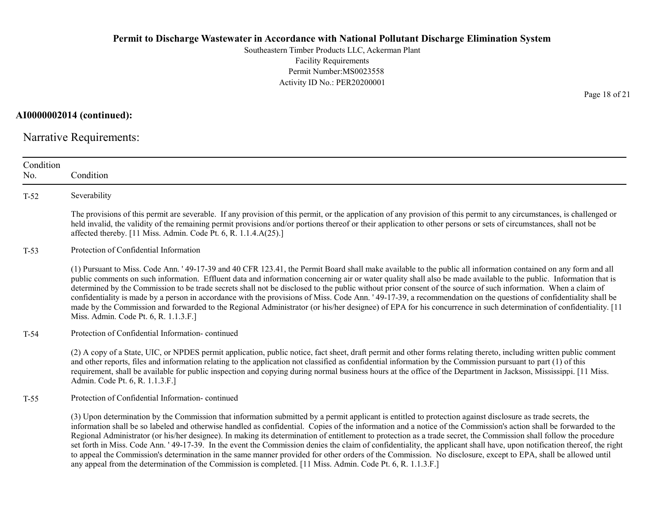Southeastern Timber Products LLC, Ackerman Plant Facility Requirements Permit Number:MS0023558 Activity ID No.: PER20200001

AI0000002014 (continued):

Narrative Requirements:

| Condition<br>No. | Condition                                                                                                                                                                                                                                                                                                                                                                                                                                                                                                                                                                                                                                                                                                                                                                                                                                                                                                                                                             |
|------------------|-----------------------------------------------------------------------------------------------------------------------------------------------------------------------------------------------------------------------------------------------------------------------------------------------------------------------------------------------------------------------------------------------------------------------------------------------------------------------------------------------------------------------------------------------------------------------------------------------------------------------------------------------------------------------------------------------------------------------------------------------------------------------------------------------------------------------------------------------------------------------------------------------------------------------------------------------------------------------|
| $T-52$           | Severability                                                                                                                                                                                                                                                                                                                                                                                                                                                                                                                                                                                                                                                                                                                                                                                                                                                                                                                                                          |
|                  | The provisions of this permit are severable. If any provision of this permit, or the application of any provision of this permit to any circumstances, is challenged or<br>held invalid, the validity of the remaining permit provisions and/or portions thereof or their application to other persons or sets of circumstances, shall not be<br>affected thereby. [11 Miss. Admin. Code Pt. 6, R. 1.1.4.A(25).]                                                                                                                                                                                                                                                                                                                                                                                                                                                                                                                                                      |
| $T-53$           | Protection of Confidential Information                                                                                                                                                                                                                                                                                                                                                                                                                                                                                                                                                                                                                                                                                                                                                                                                                                                                                                                                |
|                  | (1) Pursuant to Miss. Code Ann. ' 49-17-39 and 40 CFR 123.41, the Permit Board shall make available to the public all information contained on any form and all<br>public comments on such information. Effluent data and information concerning air or water quality shall also be made available to the public. Information that is<br>determined by the Commission to be trade secrets shall not be disclosed to the public without prior consent of the source of such information. When a claim of<br>confidentiality is made by a person in accordance with the provisions of Miss. Code Ann. '49-17-39, a recommendation on the questions of confidentiality shall be<br>made by the Commission and forwarded to the Regional Administrator (or his/her designee) of EPA for his concurrence in such determination of confidentiality. [11<br>Miss. Admin. Code Pt. 6, R. 1.1.3.F.]                                                                            |
| $T-54$           | Protection of Confidential Information-continued                                                                                                                                                                                                                                                                                                                                                                                                                                                                                                                                                                                                                                                                                                                                                                                                                                                                                                                      |
|                  | (2) A copy of a State, UIC, or NPDES permit application, public notice, fact sheet, draft permit and other forms relating thereto, including written public comment<br>and other reports, files and information relating to the application not classified as confidential information by the Commission pursuant to part (1) of this<br>requirement, shall be available for public inspection and copying during normal business hours at the office of the Department in Jackson, Mississippi. [11 Miss.]<br>Admin. Code Pt. 6, R. 1.1.3.F.]                                                                                                                                                                                                                                                                                                                                                                                                                        |
| $T-55$           | Protection of Confidential Information-continued                                                                                                                                                                                                                                                                                                                                                                                                                                                                                                                                                                                                                                                                                                                                                                                                                                                                                                                      |
|                  | (3) Upon determination by the Commission that information submitted by a permit applicant is entitled to protection against disclosure as trade secrets, the<br>information shall be so labeled and otherwise handled as confidential. Copies of the information and a notice of the Commission's action shall be forwarded to the<br>Regional Administrator (or his/her designee). In making its determination of entitlement to protection as a trade secret, the Commission shall follow the procedure<br>set forth in Miss. Code Ann. ' 49-17-39. In the event the Commission denies the claim of confidentiality, the applicant shall have, upon notification thereof, the right<br>to appeal the Commission's determination in the same manner provided for other orders of the Commission. No disclosure, except to EPA, shall be allowed until<br>any appeal from the determination of the Commission is completed. [11 Miss. Admin. Code Pt. 6, R. 1.1.3.F.] |

Page 18 of 21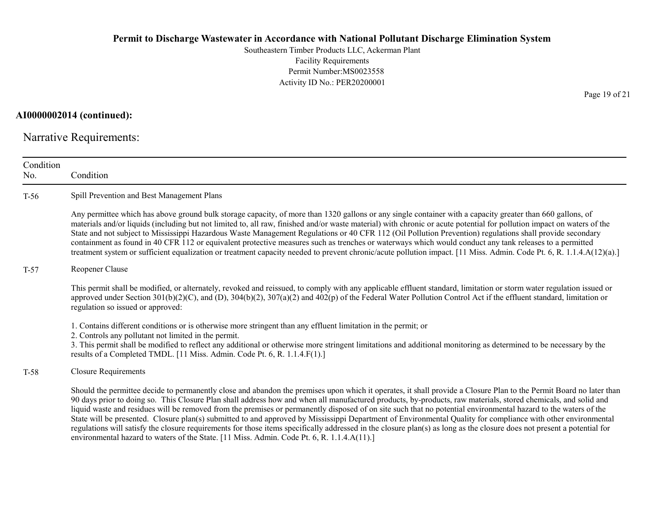Southeastern Timber Products LLC, Ackerman Plant Facility Requirements Permit Number:MS0023558 Activity ID No.: PER20200001

## AI0000002014 (continued):

Narrative Requirements:

| Condition<br>No. | Condition                                                                                                                                                                                                                                                                                                                                                                                                                                                                                                                                                                                                                                                                                                                                                                                                                                                                                                                                          |
|------------------|----------------------------------------------------------------------------------------------------------------------------------------------------------------------------------------------------------------------------------------------------------------------------------------------------------------------------------------------------------------------------------------------------------------------------------------------------------------------------------------------------------------------------------------------------------------------------------------------------------------------------------------------------------------------------------------------------------------------------------------------------------------------------------------------------------------------------------------------------------------------------------------------------------------------------------------------------|
| $T-56$           | Spill Prevention and Best Management Plans                                                                                                                                                                                                                                                                                                                                                                                                                                                                                                                                                                                                                                                                                                                                                                                                                                                                                                         |
|                  | Any permittee which has above ground bulk storage capacity, of more than 1320 gallons or any single container with a capacity greater than 660 gallons, of<br>materials and/or liquids (including but not limited to, all raw, finished and/or waste material) with chronic or acute potential for pollution impact on waters of the<br>State and not subject to Mississippi Hazardous Waste Management Regulations or 40 CFR 112 (Oil Pollution Prevention) regulations shall provide secondary<br>containment as found in 40 CFR 112 or equivalent protective measures such as trenches or waterways which would conduct any tank releases to a permitted<br>treatment system or sufficient equalization or treatment capacity needed to prevent chronic/acute pollution impact. [11 Miss. Admin. Code Pt. 6, R. 1.1.4.A(12)(a).]                                                                                                                |
| $T-57$           | Reopener Clause                                                                                                                                                                                                                                                                                                                                                                                                                                                                                                                                                                                                                                                                                                                                                                                                                                                                                                                                    |
|                  | This permit shall be modified, or alternately, revoked and reissued, to comply with any applicable effluent standard, limitation or storm water regulation issued or<br>approved under Section $301(b)(2)(C)$ , and (D), $304(b)(2)$ , $307(a)(2)$ and $402(p)$ of the Federal Water Pollution Control Act if the effluent standard, limitation or<br>regulation so issued or approved:                                                                                                                                                                                                                                                                                                                                                                                                                                                                                                                                                            |
|                  | 1. Contains different conditions or is otherwise more stringent than any effluent limitation in the permit; or<br>2. Controls any pollutant not limited in the permit.<br>3. This permit shall be modified to reflect any additional or otherwise more stringent limitations and additional monitoring as determined to be necessary by the<br>results of a Completed TMDL. [11 Miss. Admin. Code Pt. 6, R. 1.1.4.F(1).]                                                                                                                                                                                                                                                                                                                                                                                                                                                                                                                           |
| $T-58$           | <b>Closure Requirements</b>                                                                                                                                                                                                                                                                                                                                                                                                                                                                                                                                                                                                                                                                                                                                                                                                                                                                                                                        |
|                  | Should the permittee decide to permanently close and abandon the premises upon which it operates, it shall provide a Closure Plan to the Permit Board no later than<br>90 days prior to doing so. This Closure Plan shall address how and when all manufactured products, by-products, raw materials, stored chemicals, and solid and<br>liquid waste and residues will be removed from the premises or permanently disposed of on site such that no potential environmental hazard to the waters of the<br>State will be presented. Closure plan(s) submitted to and approved by Mississippi Department of Environmental Quality for compliance with other environmental<br>regulations will satisfy the closure requirements for those items specifically addressed in the closure plan(s) as long as the closure does not present a potential for<br>environmental hazard to waters of the State. [11 Miss. Admin. Code Pt. 6, R. 1.1.4.A(11).] |

Page 19 of 21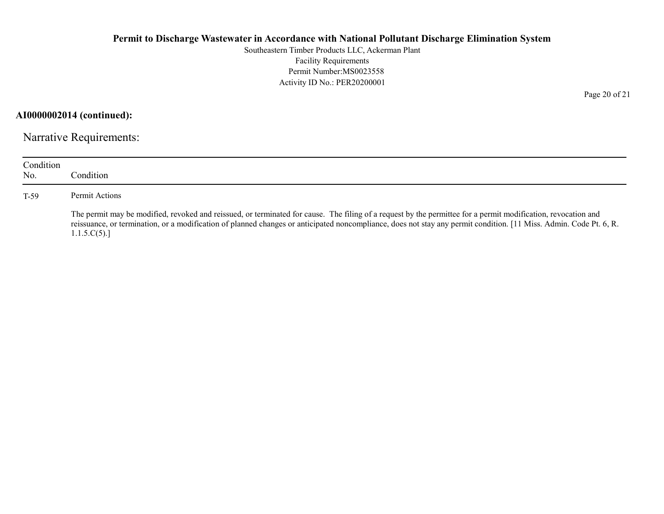Southeastern Timber Products LLC, Ackerman Plant Facility Requirements Permit Number:MS0023558 Activity ID No.: PER20200001

AI0000002014 (continued):

Narrative Requirements:

| Condition<br>No. | Condition.                                                                                                                                                                                                                                                                                                                                         |
|------------------|----------------------------------------------------------------------------------------------------------------------------------------------------------------------------------------------------------------------------------------------------------------------------------------------------------------------------------------------------|
| $T-59$           | Permit Actions                                                                                                                                                                                                                                                                                                                                     |
|                  | The permit may be modified, revoked and reissued, or terminated for cause. The filing of a request by the permittee for a permit modification, revocation and<br>reissuance, or termination, or a modification of planned changes or anticipated noncompliance, does not stay any permit condition. [11 Miss. Admin. Code Pt. 6, R.<br>1.1.5.C(5). |

Page 20 of 21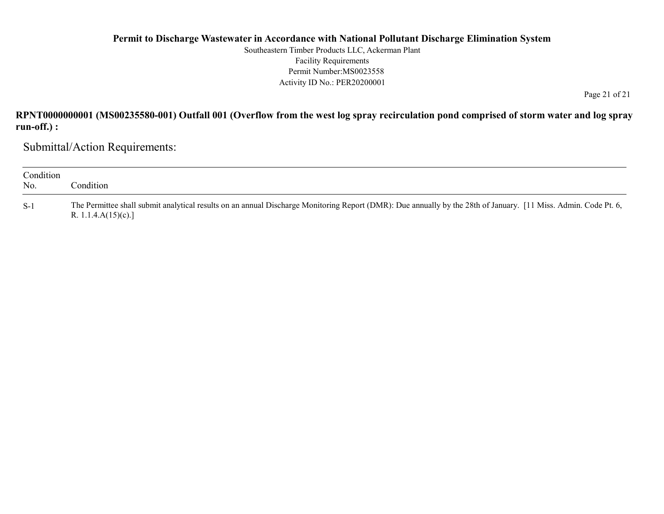Southeastern Timber Products LLC, Ackerman Plant Facility Requirements Permit Number:MS0023558 Activity ID No.: PER20200001

Page 21 of 21

## RPNT0000000001 (MS00235580-001) Outfall 001 (Overflow from the west log spray recirculation pond comprised of storm water and log spray run-off.) :

Submittal/Action Requirements:

| Condition<br>No. | Condition                                                                                                                                                                                  |
|------------------|--------------------------------------------------------------------------------------------------------------------------------------------------------------------------------------------|
| $S-1$            | The Permittee shall submit analytical results on an annual Discharge Monitoring Report (DMR): Due annually by the 28th of January. [11 Miss. Admin. Code Pt. 6,<br>R. 1.1.4. $A(15)(c)$ .] |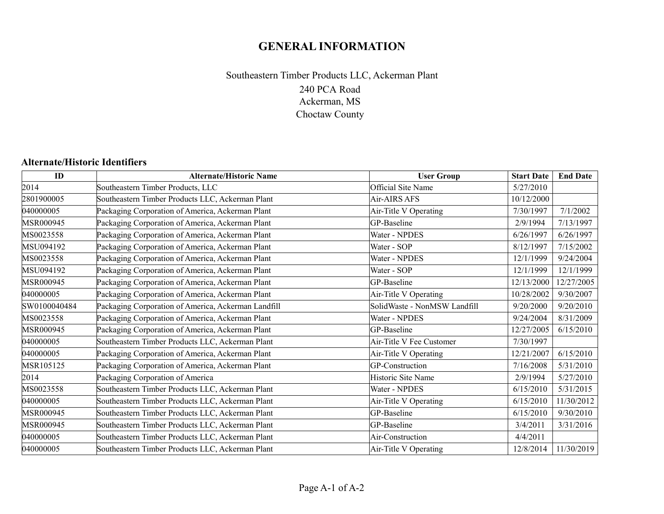## GENERAL INFORMATION

## 240 PCA Road Ackerman, MS Choctaw County Southeastern Timber Products LLC, Ackerman Plant

## Alternate/Historic Identifiers

| ID           | <b>Alternate/Historic Name</b>                      | <b>User Group</b>            | <b>Start Date</b> | <b>End Date</b> |
|--------------|-----------------------------------------------------|------------------------------|-------------------|-----------------|
| 2014         | Southeastern Timber Products, LLC                   | Official Site Name           | 5/27/2010         |                 |
| 2801900005   | Southeastern Timber Products LLC, Ackerman Plant    | Air-AIRS AFS                 | 10/12/2000        |                 |
| 040000005    | Packaging Corporation of America, Ackerman Plant    | Air-Title V Operating        | 7/30/1997         | 7/1/2002        |
| MSR000945    | Packaging Corporation of America, Ackerman Plant    | GP-Baseline                  | 2/9/1994          | 7/13/1997       |
| MS0023558    | Packaging Corporation of America, Ackerman Plant    | Water - NPDES                | 6/26/1997         | 6/26/1997       |
| MSU094192    | Packaging Corporation of America, Ackerman Plant    | Water - SOP                  | 8/12/1997         | 7/15/2002       |
| MS0023558    | Packaging Corporation of America, Ackerman Plant    | Water - NPDES                | 12/1/1999         | 9/24/2004       |
| MSU094192    | Packaging Corporation of America, Ackerman Plant    | Water - SOP                  | 12/1/1999         | 12/1/1999       |
| MSR000945    | Packaging Corporation of America, Ackerman Plant    | GP-Baseline                  | 12/13/2000        | 12/27/2005      |
| 040000005    | Packaging Corporation of America, Ackerman Plant    | Air-Title V Operating        | 10/28/2002        | 9/30/2007       |
| SW0100040484 | Packaging Corporation of America, Ackerman Landfill | SolidWaste - NonMSW Landfill | 9/20/2000         | 9/20/2010       |
| MS0023558    | Packaging Corporation of America, Ackerman Plant    | Water - NPDES                | 9/24/2004         | 8/31/2009       |
| MSR000945    | Packaging Corporation of America, Ackerman Plant    | GP-Baseline                  | 12/27/2005        | 6/15/2010       |
| 040000005    | Southeastern Timber Products LLC, Ackerman Plant    | Air-Title V Fee Customer     | 7/30/1997         |                 |
| 040000005    | Packaging Corporation of America, Ackerman Plant    | Air-Title V Operating        | 12/21/2007        | 6/15/2010       |
| MSR105125    | Packaging Corporation of America, Ackerman Plant    | GP-Construction              | 7/16/2008         | 5/31/2010       |
| 2014         | Packaging Corporation of America                    | Historic Site Name           | 2/9/1994          | 5/27/2010       |
| MS0023558    | Southeastern Timber Products LLC, Ackerman Plant    | Water - NPDES                | 6/15/2010         | 5/31/2015       |
| 040000005    | Southeastern Timber Products LLC, Ackerman Plant    | Air-Title V Operating        | 6/15/2010         | 11/30/2012      |
| MSR000945    | Southeastern Timber Products LLC, Ackerman Plant    | GP-Baseline                  | 6/15/2010         | 9/30/2010       |
| MSR000945    | Southeastern Timber Products LLC, Ackerman Plant    | GP-Baseline                  | 3/4/2011          | 3/31/2016       |
| 040000005    | Southeastern Timber Products LLC, Ackerman Plant    | Air-Construction             | 4/4/2011          |                 |
| 040000005    | Southeastern Timber Products LLC, Ackerman Plant    | Air-Title V Operating        | 12/8/2014         | 11/30/2019      |